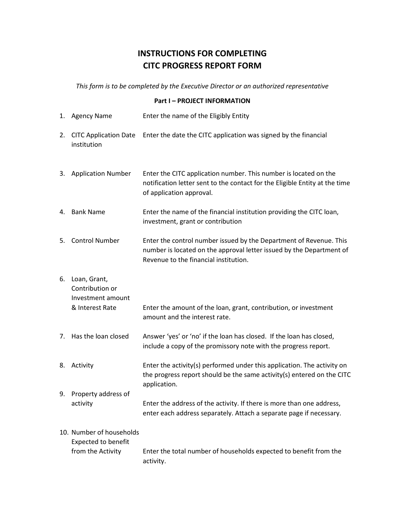## **INSTRUCTIONS FOR COMPLETING CITC PROGRESS REPORT FORM**

*This form is to be completed by the Executive Director or an authorized representative*

## **Part I – PROJECT INFORMATION**

|    | 1. Agency Name                                                              | Enter the name of the Eligibly Entity                                                                                                                                               |
|----|-----------------------------------------------------------------------------|-------------------------------------------------------------------------------------------------------------------------------------------------------------------------------------|
| 2. | <b>CITC Application Date</b><br>institution                                 | Enter the date the CITC application was signed by the financial                                                                                                                     |
|    | 3. Application Number                                                       | Enter the CITC application number. This number is located on the<br>notification letter sent to the contact for the Eligible Entity at the time<br>of application approval.         |
|    | 4. Bank Name                                                                | Enter the name of the financial institution providing the CITC loan,<br>investment, grant or contribution                                                                           |
|    | 5. Control Number                                                           | Enter the control number issued by the Department of Revenue. This<br>number is located on the approval letter issued by the Department of<br>Revenue to the financial institution. |
| 6. | Loan, Grant,<br>Contribution or<br>Investment amount<br>& Interest Rate     | Enter the amount of the loan, grant, contribution, or investment<br>amount and the interest rate.                                                                                   |
|    | 7. Has the loan closed                                                      | Answer 'yes' or 'no' if the loan has closed. If the loan has closed,<br>include a copy of the promissory note with the progress report.                                             |
|    | 8. Activity                                                                 | Enter the activity(s) performed under this application. The activity on<br>the progress report should be the same activity(s) entered on the CITC<br>application.                   |
| 9. | Property address of<br>activity                                             | Enter the address of the activity. If there is more than one address,<br>enter each address separately. Attach a separate page if necessary.                                        |
|    | 10. Number of households<br><b>Expected to benefit</b><br>from the Activity | Enter the total number of households expected to benefit from the<br>activity.                                                                                                      |